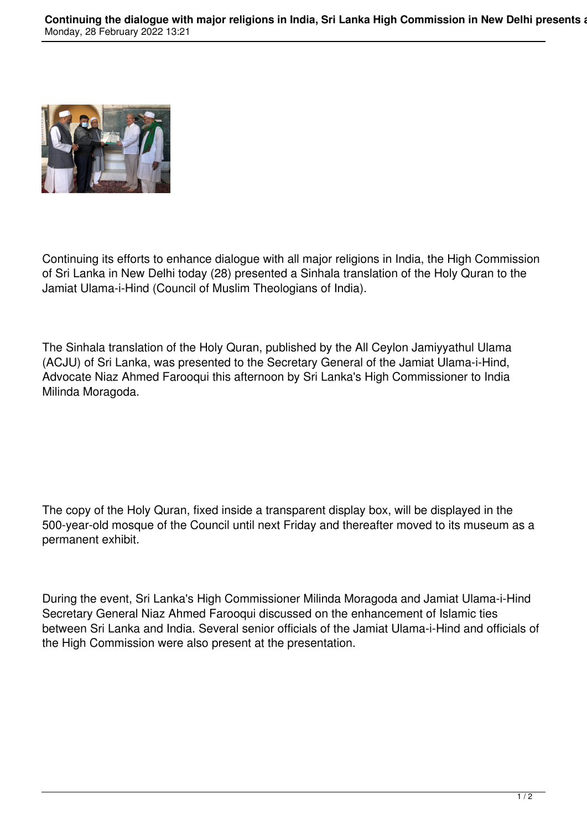

Continuing its efforts to enhance dialogue with all major religions in India, the High Commission of Sri Lanka in New Delhi today (28) presented a Sinhala translation of the Holy Quran to the Jamiat Ulama-i-Hind (Council of Muslim Theologians of India).

The Sinhala translation of the Holy Quran, published by the All Ceylon Jamiyyathul Ulama (ACJU) of Sri Lanka, was presented to the Secretary General of the Jamiat Ulama-i-Hind, Advocate Niaz Ahmed Farooqui this afternoon by Sri Lanka's High Commissioner to India Milinda Moragoda.

The copy of the Holy Quran, fixed inside a transparent display box, will be displayed in the 500-year-old mosque of the Council until next Friday and thereafter moved to its museum as a permanent exhibit.

During the event, Sri Lanka's High Commissioner Milinda Moragoda and Jamiat Ulama-i-Hind Secretary General Niaz Ahmed Farooqui discussed on the enhancement of Islamic ties between Sri Lanka and India. Several senior officials of the Jamiat Ulama-i-Hind and officials of the High Commission were also present at the presentation.